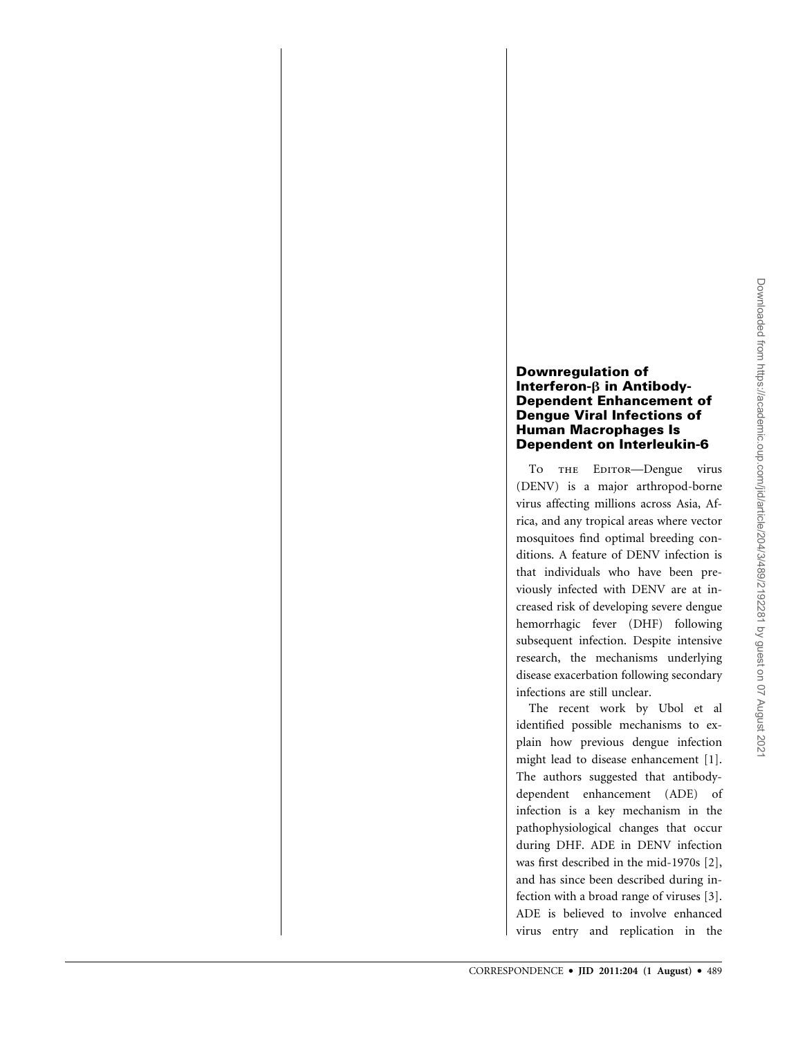## Downregulation of Interferon- $\beta$  in Antibody-Dependent Enhancement of Dengue Viral Infections of Human Macrophages Is Dependent on Interleukin-6

To THE EDITOR-Dengue virus (DENV) is a major arthropod-borne virus affecting millions across Asia, Africa, and any tropical areas where vector mosquitoes find optimal breeding conditions. A feature of DENV infection is that individuals who have been previously infected with DENV are at increased risk of developing severe dengue hemorrhagic fever (DHF) following subsequent infection. Despite intensive research, the mechanisms underlying disease exacerbation following secondary infections are still unclear.

The recent work by Ubol et al identified possible mechanisms to explain how previous dengue infection might lead to disease enhancement [1]. The authors suggested that antibodydependent enhancement (ADE) of infection is a key mechanism in the pathophysiological changes that occur during DHF. ADE in DENV infection was first described in the mid-1970s [2], and has since been described during infection with a broad range of viruses [3]. ADE is believed to involve enhanced virus entry and replication in the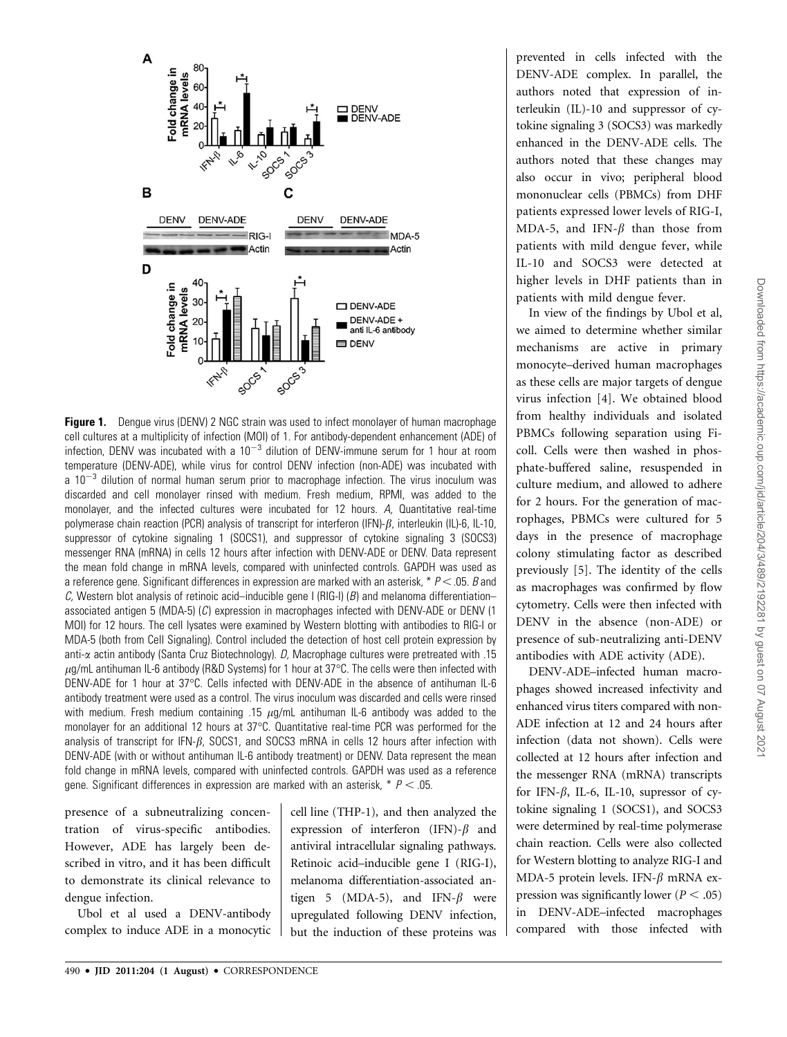

**Figure 1.** Dengue virus (DENV) 2 NGC strain was used to infect monolayer of human macrophage cell cultures at a multiplicity of infection (MOI) of 1. For antibody-dependent enhancement (ADE) of infection, DENV was incubated with a  $10^{-3}$  dilution of DENV-immune serum for 1 hour at room temperature (DENV-ADE), while virus for control DENV infection (non-ADE) was incubated with a  $10^{-3}$  dilution of normal human serum prior to macrophage infection. The virus inoculum was discarded and cell monolayer rinsed with medium. Fresh medium, RPMI, was added to the monolayer, and the infected cultures were incubated for 12 hours. A, Quantitative real-time polymerase chain reaction (PCR) analysis of transcript for interferon (IFN)- $\beta$ , interleukin (IL)-6, IL-10, suppressor of cytokine signaling 1 (SOCS1), and suppressor of cytokine signaling 3 (SOCS3) messenger RNA (mRNA) in cells 12 hours after infection with DENV-ADE or DENV. Data represent the mean fold change in mRNA levels, compared with uninfected controls. GAPDH was used as a reference gene. Significant differences in expression are marked with an asterisk, \*  $P < .05$ . B and C, Western blot analysis of retinoic acid–inducible gene I (RIG-I) (B) and melanoma differentiation– associated antigen 5 (MDA-5)  $(C)$  expression in macrophages infected with DENV-ADE or DENV (1) MOI) for 12 hours. The cell lysates were examined by Western blotting with antibodies to RIG-I or MDA-5 (both from Cell Signaling). Control included the detection of host cell protein expression by anti- $\alpha$  actin antibody (Santa Cruz Biotechnology). D, Macrophage cultures were pretreated with .15  $\mu$ g/mL antihuman IL-6 antibody (R&D Systems) for 1 hour at 37°C. The cells were then infected with .<br>DENV-ADE for 1 hour at 37°C. Cells infected with DENV-ADE in the absence of antihuman IL-6 antibody treatment were used as a control. The virus inoculum was discarded and cells were rinsed with medium. Fresh medium containing .15  $\mu$ g/mL antihuman IL-6 antibody was added to the monolayer for an additional 12 hours at 37°C. Quantitative real-time PCR was performed for the analysis of transcript for IFN- $\beta$ , SOCS1, and SOCS3 mRNA in cells 12 hours after infection with DENV-ADE (with or without antihuman IL-6 antibody treatment) or DENV. Data represent the mean fold change in mRNA levels, compared with uninfected controls. GAPDH was used as a reference gene. Significant differences in expression are marked with an asterisk,  $* P < .05$ .

presence of a subneutralizing concentration of virus-specific antibodies. However, ADE has largely been described in vitro, and it has been difficult to demonstrate its clinical relevance to dengue infection.

Ubol et al used a DENV-antibody complex to induce ADE in a monocytic cell line (THP-1), and then analyzed the expression of interferon (IFN)- $\beta$  and antiviral intracellular signaling pathways. Retinoic acid–inducible gene I (RIG-I), melanoma differentiation-associated antigen 5 (MDA-5), and IFN- $\beta$  were upregulated following DENV infection, but the induction of these proteins was prevented in cells infected with the DENV-ADE complex. In parallel, the authors noted that expression of interleukin (IL)-10 and suppressor of cytokine signaling 3 (SOCS3) was markedly enhanced in the DENV-ADE cells. The authors noted that these changes may also occur in vivo; peripheral blood mononuclear cells (PBMCs) from DHF patients expressed lower levels of RIG-I, MDA-5, and IFN- $\beta$  than those from patients with mild dengue fever, while IL-10 and SOCS3 were detected at higher levels in DHF patients than in patients with mild dengue fever.

In view of the findings by Ubol et al, we aimed to determine whether similar mechanisms are active in primary monocyte–derived human macrophages as these cells are major targets of dengue virus infection [4]. We obtained blood from healthy individuals and isolated PBMCs following separation using Ficoll. Cells were then washed in phosphate-buffered saline, resuspended in culture medium, and allowed to adhere for 2 hours. For the generation of macrophages, PBMCs were cultured for 5 days in the presence of macrophage colony stimulating factor as described previously [5]. The identity of the cells as macrophages was confirmed by flow cytometry. Cells were then infected with DENV in the absence (non-ADE) or presence of sub-neutralizing anti-DENV antibodies with ADE activity (ADE).

DENV-ADE–infected human macrophages showed increased infectivity and enhanced virus titers compared with non-ADE infection at 12 and 24 hours after infection (data not shown). Cells were collected at 12 hours after infection and the messenger RNA (mRNA) transcripts for IFN- $\beta$ , IL-6, IL-10, supressor of cytokine signaling 1 (SOCS1), and SOCS3 were determined by real-time polymerase chain reaction. Cells were also collected for Western blotting to analyze RIG-I and MDA-5 protein levels. IFN- $\beta$  mRNA expression was significantly lower ( $P < .05$ ) in DENV-ADE–infected macrophages compared with those infected with